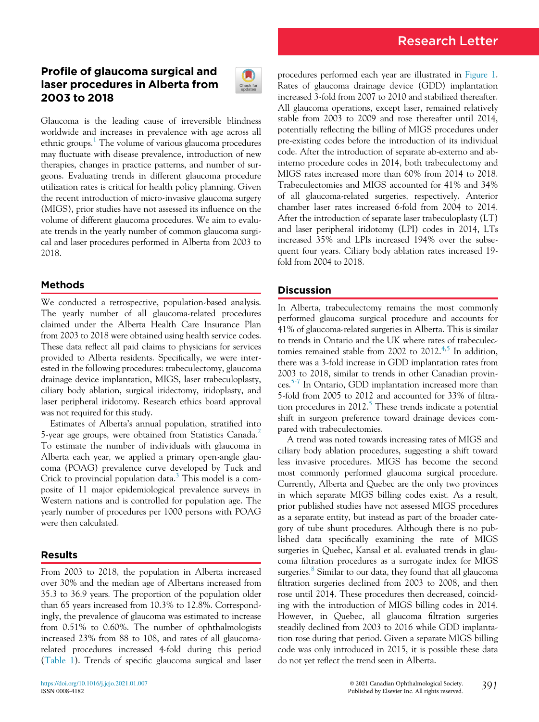# Profile of glaucoma surgical and laser procedures in Alberta from 2003 to 2018



Glaucoma is the leading cause of irreversible blindness worldwide and increases in prevalence with age across all ethnic groups. $<sup>1</sup>$  $<sup>1</sup>$  $<sup>1</sup>$  The volume of various glaucoma procedures</sup> may fluctuate with disease prevalence, introduction of new therapies, changes in practice patterns, and number of surgeons. Evaluating trends in different glaucoma procedure utilization rates is critical for health policy planning. Given the recent introduction of micro-invasive glaucoma surgery (MIGS), prior studies have not assessed its influence on the volume of different glaucoma procedures. We aim to evaluate trends in the yearly number of common glaucoma surgical and laser procedures performed in Alberta from 2003 to 2018.

# Methods

We conducted a retrospective, population-based analysis. The yearly number of all glaucoma-related procedures claimed under the Alberta Health Care Insurance Plan from 2003 to 2018 were obtained using health service codes. These data reflect all paid claims to physicians for services provided to Alberta residents. Specifically, we were interested in the following procedures: trabeculectomy, glaucoma drainage device implantation, MIGS, laser trabeculoplasty, ciliary body ablation, surgical iridectomy, iridoplasty, and laser peripheral iridotomy. Research ethics board approval was not required for this study.

Estimates of Alberta's annual population, stratified into 5-year age groups, were obtained from Statistics Canada.<sup>[2](#page-2-1)</sup> To estimate the number of individuals with glaucoma in Alberta each year, we applied a primary open-angle glaucoma (POAG) prevalence curve developed by Tuck and Crick to provincial population data.<sup>[3](#page-2-2)</sup> This model is a composite of 11 major epidemiological prevalence surveys in Western nations and is controlled for population age. The yearly number of procedures per 1000 persons with POAG were then calculated.

## Results

From 2003 to 2018, the population in Alberta increased over 30% and the median age of Albertans increased from 35.3 to 36.9 years. The proportion of the population older than 65 years increased from 10.3% to 12.8%. Correspondingly, the prevalence of glaucoma was estimated to increase from 0.51% to 0.60%. The number of ophthalmologists increased 23% from 88 to 108, and rates of all glaucomarelated procedures increased 4-fold during this period [\(Table 1\)](#page-1-0). Trends of specific glaucoma surgical and laser procedures performed each year are illustrated in [Figure 1](#page-2-3). Rates of glaucoma drainage device (GDD) implantation increased 3-fold from 2007 to 2010 and stabilized thereafter. All glaucoma operations, except laser, remained relatively stable from 2003 to 2009 and rose thereafter until 2014, potentially reflecting the billing of MIGS procedures under pre-existing codes before the introduction of its individual code. After the introduction of separate ab-externo and abinterno procedure codes in 2014, both trabeculectomy and MIGS rates increased more than 60% from 2014 to 2018. Trabeculectomies and MIGS accounted for 41% and 34% of all glaucoma-related surgeries, respectively. Anterior chamber laser rates increased 6-fold from 2004 to 2014. After the introduction of separate laser trabeculoplasty (LT) and laser peripheral iridotomy (LPI) codes in 2014, LTs increased 35% and LPIs increased 194% over the subsequent four years. Ciliary body ablation rates increased 19 fold from 2004 to 2018.

## Discussion

In Alberta, trabeculectomy remains the most commonly performed glaucoma surgical procedure and accounts for 41% of glaucoma-related surgeries in Alberta. This is similar to trends in Ontario and the UK where rates of trabeculectomies remained stable from 2002 to  $2012^{4,5}$  $2012^{4,5}$  $2012^{4,5}$  $2012^{4,5}$  In addition, there was a 3-fold increase in GDD implantation rates from 2003 to 2018, similar to trends in other Canadian provinces.[5-7](#page-2-5) In Ontario, GDD implantation increased more than 5-fold from 2005 to 2012 and accounted for 33% of filtration procedures in  $2012<sup>5</sup>$ . These trends indicate a potential shift in surgeon preference toward drainage devices compared with trabeculectomies.

A trend was noted towards increasing rates of MIGS and ciliary body ablation procedures, suggesting a shift toward less invasive procedures. MIGS has become the second most commonly performed glaucoma surgical procedure. Currently, Alberta and Quebec are the only two provinces in which separate MIGS billing codes exist. As a result, prior published studies have not assessed MIGS procedures as a separate entity, but instead as part of the broader category of tube shunt procedures. Although there is no published data specifically examining the rate of MIGS surgeries in Quebec, Kansal et al. evaluated trends in glaucoma filtration procedures as a surrogate index for MIGS surgeries. $\delta$  Similar to our data, they found that all glaucoma filtration surgeries declined from 2003 to 2008, and then rose until 2014. These procedures then decreased, coinciding with the introduction of MIGS billing codes in 2014. However, in Quebec, all glaucoma filtration surgeries steadily declined from 2003 to 2016 while GDD implantation rose during that period. Given a separate MIGS billing code was only introduced in 2015, it is possible these data do not yet reflect the trend seen in Alberta.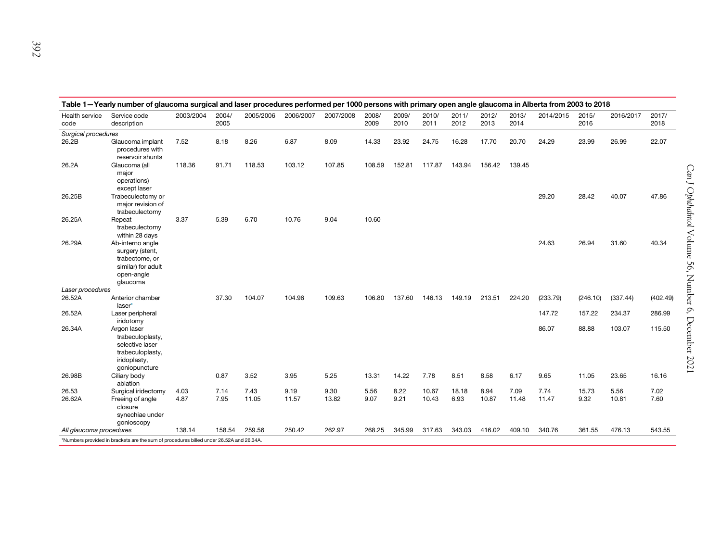<span id="page-1-1"></span><span id="page-1-0"></span>

| Table 1-Yearly number of glaucoma surgical and laser procedures performed per 1000 persons with primary open angle glaucoma in Alberta from 2003 to 2018 |                                                                                                         |           |               |           |           |           |               |               |               |               |               |               |           |               |           |               |
|----------------------------------------------------------------------------------------------------------------------------------------------------------|---------------------------------------------------------------------------------------------------------|-----------|---------------|-----------|-----------|-----------|---------------|---------------|---------------|---------------|---------------|---------------|-----------|---------------|-----------|---------------|
| Health service<br>code                                                                                                                                   | Service code<br>description                                                                             | 2003/2004 | 2004/<br>2005 | 2005/2006 | 2006/2007 | 2007/2008 | 2008/<br>2009 | 2009/<br>2010 | 2010/<br>2011 | 2011/<br>2012 | 2012/<br>2013 | 2013/<br>2014 | 2014/2015 | 2015/<br>2016 | 2016/2017 | 2017/<br>2018 |
| Surgical procedures                                                                                                                                      |                                                                                                         |           |               |           |           |           |               |               |               |               |               |               |           |               |           |               |
| 26.2B                                                                                                                                                    | Glaucoma implant<br>procedures with<br>reservoir shunts                                                 | 7.52      | 8.18          | 8.26      | 6.87      | 8.09      | 14.33         | 23.92         | 24.75         | 16.28         | 17.70         | 20.70         | 24.29     | 23.99         | 26.99     | 22.07         |
| 26.2A                                                                                                                                                    | Glaucoma (all<br>major<br>operations)<br>except laser                                                   | 118.36    | 91.71         | 118.53    | 103.12    | 107.85    | 108.59        | 152.81        | 117.87        | 143.94        | 156.42        | 139.45        |           |               |           |               |
| 26.25B                                                                                                                                                   | Trabeculectomy or<br>major revision of<br>trabeculectomy                                                |           |               |           |           |           |               |               |               |               |               |               | 29.20     | 28.42         | 40.07     | 47.86         |
| 26.25A                                                                                                                                                   | Repeat<br>trabeculectomy<br>within 28 days                                                              | 3.37      | 5.39          | 6.70      | 10.76     | 9.04      | 10.60         |               |               |               |               |               |           |               |           |               |
| 26.29A                                                                                                                                                   | Ab-interno angle<br>surgery (stent,<br>trabectome, or<br>similar) for adult<br>open-angle<br>qlaucoma   |           |               |           |           |           |               |               |               |               |               |               | 24.63     | 26.94         | 31.60     | 40.34         |
| Laser procedures                                                                                                                                         |                                                                                                         |           |               |           |           |           |               |               |               |               |               |               |           |               |           |               |
| 26.52A                                                                                                                                                   | Anterior chamber<br>laser*                                                                              |           | 37.30         | 104.07    | 104.96    | 109.63    | 106.80        | 137.60        | 146.13        | 149.19        | 213.51        | 224.20        | (233.79)  | (246.10)      | (337.44)  | (402.49)      |
| 26.52A                                                                                                                                                   | Laser peripheral<br>iridotomy                                                                           |           |               |           |           |           |               |               |               |               |               |               | 147.72    | 157.22        | 234.37    | 286.99        |
| 26.34A                                                                                                                                                   | Argon laser<br>trabeculoplasty,<br>selective laser<br>trabeculoplasty,<br>iridoplasty,<br>goniopuncture |           |               |           |           |           |               |               |               |               |               |               | 86.07     | 88.88         | 103.07    | 115.50        |
| 26.98B                                                                                                                                                   | Ciliary body<br>ablation                                                                                |           | 0.87          | 3.52      | 3.95      | 5.25      | 13.31         | 14.22         | 7.78          | 8.51          | 8.58          | 6.17          | 9.65      | 11.05         | 23.65     | 16.16         |
| 26.53                                                                                                                                                    | Surgical iridectomy                                                                                     | 4.03      | 7.14          | 7.43      | 9.19      | 9.30      | 5.56          | 8.22          | 10.67         | 18.18         | 8.94          | 7.09          | 7.74      | 15.73         | 5.56      | 7.02          |
| 26.62A                                                                                                                                                   | Freeing of angle<br>closure<br>synechiae under<br>gonioscopy                                            | 4.87      | 7.95          | 11.05     | 11.57     | 13.82     | 9.07          | 9.21          | 10.43         | 6.93          | 10.87         | 11.48         | 11.47     | 9.32          | 10.81     | 7.60          |
| All glaucoma procedures                                                                                                                                  |                                                                                                         | 138.14    | 158.54        | 259.56    | 250.42    | 262.97    | 268.25        | 345.99        | 317.63        | 343.03        | 416.02        | 409.10        | 340.76    | 361.55        | 476.13    | 543.55        |
| *Numbers provided in brackets are the sum of procedures billed under 26.52A and 26.34A.                                                                  |                                                                                                         |           |               |           |           |           |               |               |               |               |               |               |           |               |           |               |